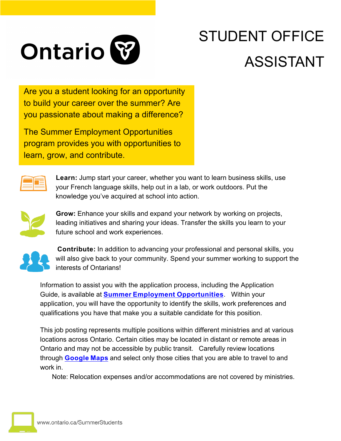

# STUDENT OFFICE ASSISTANT

Are you a student looking for an opportunity to build your career over the summer? Are you passionate about making a difference?

The Summer Employment Opportunities program provides you with opportunities to learn, grow, and contribute.



**Learn:** Jump start your career, whether you want to learn business skills, use your French language skills, help out in a lab, or work outdoors. Put the knowledge you've acquired at school into action.



**Grow:** Enhance your skills and expand your network by working on projects, leading initiatives and sharing your ideas. Transfer the skills you learn to your future school and work experiences.



**Contribute:** In addition to advancing your professional and personal skills, you will also give back to your community. Spend your summer working to support the interests of Ontarians!

Information to assist you with the application process, including the Application Guide, is available at **[Summer Employment Opportunities](https://www.gojobs.gov.on.ca/Pages/SEP.aspx)**. Within your application, you will have the opportunity to identify the skills, work preferences and qualifications you have that make you a suitable candidate for this position.

This job posting represents multiple positions within different ministries and at various locations across Ontario. Certain cities may be located in distant or remote areas in Ontario and may not be accessible by public transit. Carefully review locations through **[Google Maps](https://maps.google.ca/)** and select only those cities that you are able to travel to and work in.

Note: Relocation expenses and/or accommodations are not covered by ministries.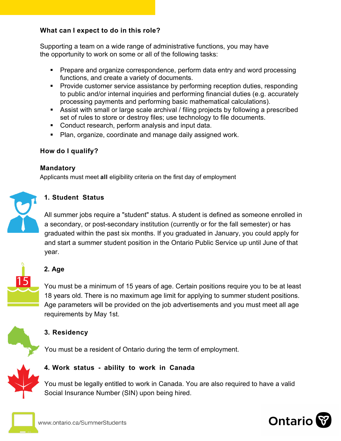#### **What can I expect to do in this role?**

Supporting a team on a wide range of administrative functions, you may have the opportunity to work on some or all of the following tasks:

- Prepare and organize correspondence, perform data entry and word processing functions, and create a variety of documents.
- Provide customer service assistance by performing reception duties, responding to public and/or internal inquiries and performing financial duties (e.g. accurately processing payments and performing basic mathematical calculations).
- Assist with small or large scale archival / filing projects by following a prescribed set of rules to store or destroy files; use technology to file documents.
- Conduct research, perform analysis and input data.
- Plan, organize, coordinate and manage daily assigned work.

#### **How do I qualify?**

#### **Mandatory**

Applicants must meet **all** eligibility criteria on the first day of employment



#### **1. Student Status**

All summer jobs require a "student" status. A student is defined as someone enrolled in a secondary, or post-secondary institution (currently or for the fall semester) or has graduated within the past six months. If you graduated in January, you could apply for and start a summer student position in the Ontario Public Service up until June of that year.



# **2. Age**

You must be a minimum of 15 years of age. Certain positions require you to be at least 18 years old. There is no maximum age limit for applying to summer student positions. Age parameters will be provided on the job advertisements and you must meet all age requirements by May 1st.



## **3. Residency**

You must be a resident of Ontario during the term of employment.



## **4. Work status - ability to work in Canada**

You must be legally entitled to work in Canada. You are also required to have a valid Social Insurance Number (SIN) upon being hired.